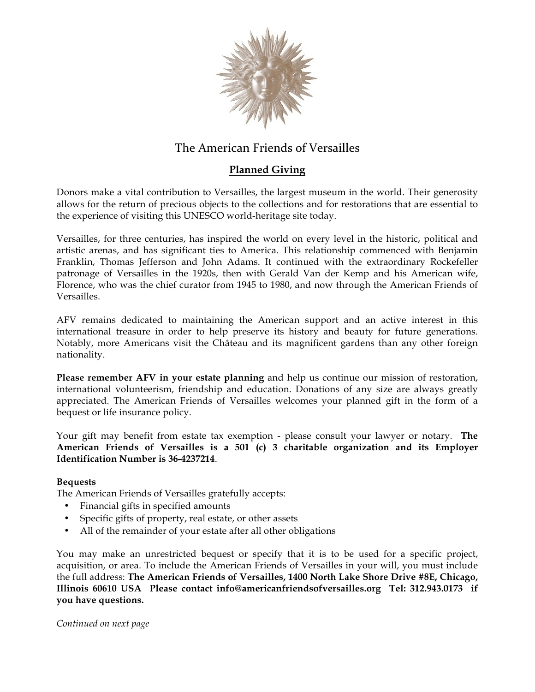

## The American Friends of Versailles

## **Planned Giving**

Donors make a vital contribution to Versailles, the largest museum in the world. Their generosity allows for the return of precious objects to the collections and for restorations that are essential to the experience of visiting this UNESCO world-heritage site today.

Versailles, for three centuries, has inspired the world on every level in the historic, political and artistic arenas, and has significant ties to America. This relationship commenced with Benjamin Franklin, Thomas Jefferson and John Adams. It continued with the extraordinary Rockefeller patronage of Versailles in the 1920s, then with Gerald Van der Kemp and his American wife, Florence, who was the chief curator from 1945 to 1980, and now through the American Friends of Versailles.

AFV remains dedicated to maintaining the American support and an active interest in this international treasure in order to help preserve its history and beauty for future generations. Notably, more Americans visit the Château and its magnificent gardens than any other foreign nationality.

**Please remember AFV in your estate planning** and help us continue our mission of restoration, international volunteerism, friendship and education. Donations of any size are always greatly appreciated. The American Friends of Versailles welcomes your planned gift in the form of a bequest or life insurance policy.

Your gift may benefit from estate tax exemption - please consult your lawyer or notary. **The American Friends of Versailles is a 501 (c) 3 charitable organization and its Employer Identification Number is 36-4237214**.

## **Bequests**

The American Friends of Versailles gratefully accepts:

- Financial gifts in specified amounts
- Specific gifts of property, real estate, or other assets
- All of the remainder of your estate after all other obligations

You may make an unrestricted bequest or specify that it is to be used for a specific project, acquisition, or area. To include the American Friends of Versailles in your will, you must include the full address: **The American Friends of Versailles, 1400 North Lake Shore Drive #8E, Chicago, Illinois 60610 USA Please contact info@americanfriendsofversailles.org Tel: 312.943.0173 if you have questions.**

*Continued on next page*